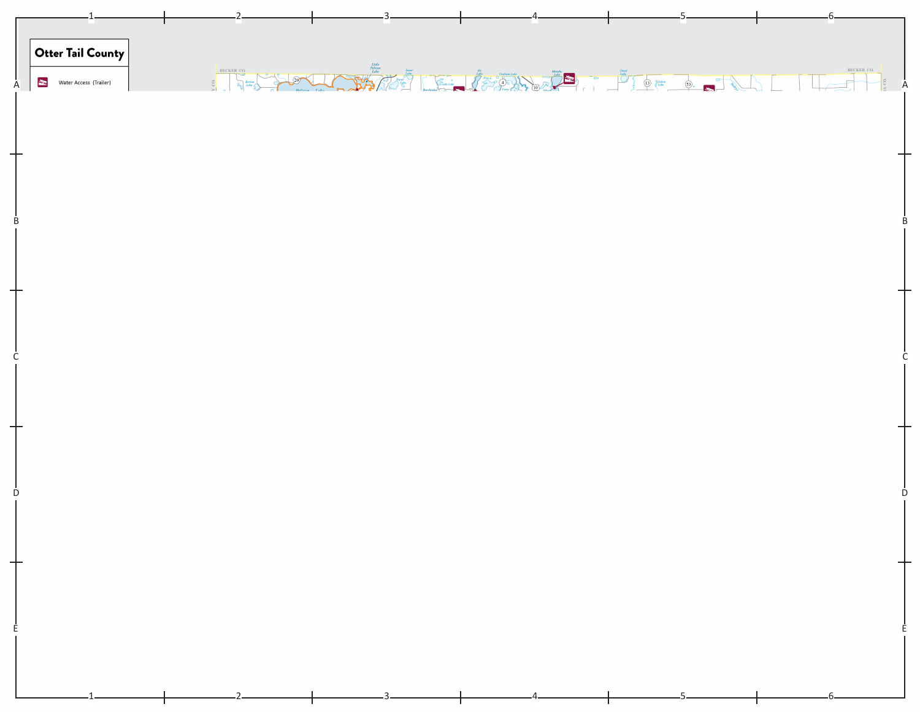